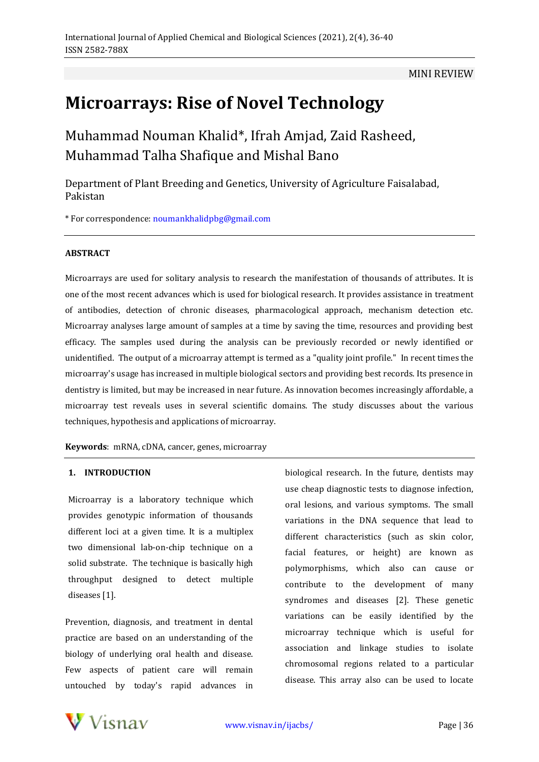# MINI REVIEW

# **Microarrays: Rise of Novel Technology**

Muhammad Nouman Khalid\*, Ifrah Amjad, Zaid Rasheed, Muhammad Talha Shafique and Mishal Bano

Department of Plant Breeding and Genetics, University of Agriculture Faisalabad, Pakistan

\* For correspondence: [noumankhalidpbg@gmail.com](mailto:noumankhalidpbg@gmail.com)

## **ABSTRACT**

Microarrays are used for solitary analysis to research the manifestation of thousands of attributes. It is one of the most recent advances which is used for biological research. It provides assistance in treatment of antibodies, detection of chronic diseases, pharmacological approach, mechanism detection etc. Microarray analyses large amount of samples at a time by saving the time, resources and providing best efficacy. The samples used during the analysis can be previously recorded or newly identified or unidentified. The output of a microarray attempt is termed as a "quality joint profile." In recent times the microarray's usage has increased in multiple biological sectors and providing best records. Its presence in dentistry is limited, but may be increased in near future. As innovation becomes increasingly affordable, a microarray test reveals uses in several scientific domains. The study discusses about the various techniques, hypothesis and applications of microarray.

**Keywords**: mRNA, cDNA, cancer, genes, microarray

## **1. INTRODUCTION**

Microarray is a laboratory technique which provides genotypic information of thousands different loci at a given time. It is a multiplex two dimensional lab-on-chip technique on a solid substrate. The technique is basically high throughput designed to detect multiple diseases [1].

Prevention, diagnosis, and treatment in dental practice are based on an understanding of the biology of underlying oral health and disease. Few aspects of patient care will remain untouched by today's rapid advances in biological research. In the future, dentists may use cheap diagnostic tests to diagnose infection, oral lesions, and various symptoms. The small variations in the DNA sequence that lead to different characteristics (such as skin color, facial features, or height) are known as polymorphisms, which also can cause or contribute to the development of many syndromes and diseases [2]. These genetic variations can be easily identified by the microarray technique which is useful for association and linkage studies to isolate chromosomal regions related to a particular disease. This array also can be used to locate



[www.visnav.in/ijacbs/](http://www.visnav.in/ijacbs/) Page | 36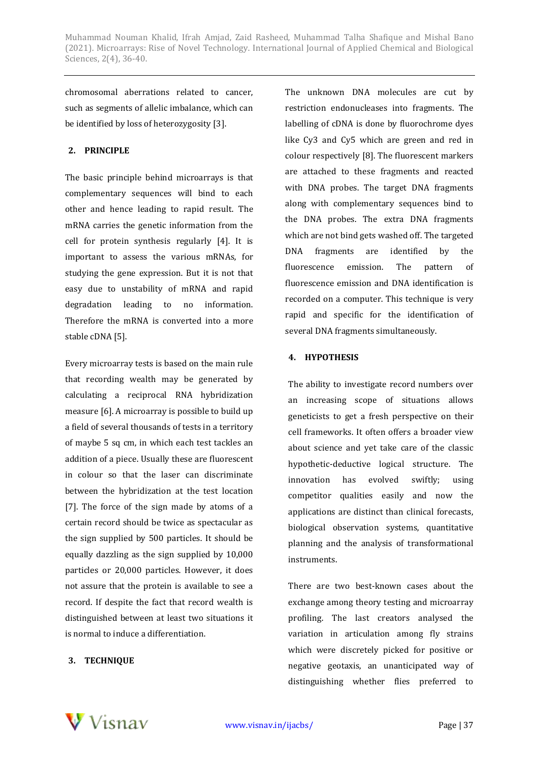Muhammad Nouman Khalid, Ifrah Amjad, Zaid Rasheed, Muhammad Talha Shafique and Mishal Bano (2021). Microarrays: Rise of Novel Technology. International Journal of Applied Chemical and Biological Sciences, 2(4), 36-40.

chromosomal aberrations related to cancer, such as segments of allelic imbalance, which can be identified by loss of heterozygosity [3].

# **2. PRINCIPLE**

The basic principle behind microarrays is that complementary sequences will bind to each other and hence leading to rapid result. The mRNA carries the genetic information from the cell for protein synthesis regularly [4]. It is important to assess the various mRNAs, for studying the gene expression. But it is not that easy due to unstability of mRNA and rapid degradation leading to no information. Therefore the mRNA is converted into a more stable cDNA [5].

Every microarray tests is based on the main rule that recording wealth may be generated by calculating a reciprocal RNA hybridization measure [6]. A microarray is possible to build up a field of several thousands of tests in a territory of maybe 5 sq cm, in which each test tackles an addition of a piece. Usually these are fluorescent in colour so that the laser can discriminate between the hybridization at the test location [7]. The force of the sign made by atoms of a certain record should be twice as spectacular as the sign supplied by 500 particles. It should be equally dazzling as the sign supplied by 10,000 particles or 20,000 particles. However, it does not assure that the protein is available to see a record. If despite the fact that record wealth is distinguished between at least two situations it is normal to induce a differentiation.

# **3. TECHNIQUE**

The unknown DNA molecules are cut by restriction endonucleases into fragments. The labelling of cDNA is done by fluorochrome dyes like Cy3 and Cy5 which are green and red in colour respectively [8]. The fluorescent markers are attached to these fragments and reacted with DNA probes. The target DNA fragments along with complementary sequences bind to the DNA probes. The extra DNA fragments which are not bind gets washed off. The targeted DNA fragments are identified by the fluorescence emission. The pattern of fluorescence emission and DNA identification is recorded on a computer. This technique is very rapid and specific for the identification of several DNA fragments simultaneously.

# **4. HYPOTHESIS**

The ability to investigate record numbers over an increasing scope of situations allows geneticists to get a fresh perspective on their cell frameworks. It often offers a broader view about science and yet take care of the classic hypothetic-deductive logical structure. The innovation has evolved swiftly; using competitor qualities easily and now the applications are distinct than clinical forecasts, biological observation systems, quantitative planning and the analysis of transformational instruments.

There are two best-known cases about the exchange among theory testing and microarray profiling. The last creators analysed the variation in articulation among fly strains which were discretely picked for positive or negative geotaxis, an unanticipated way of distinguishing whether flies preferred to

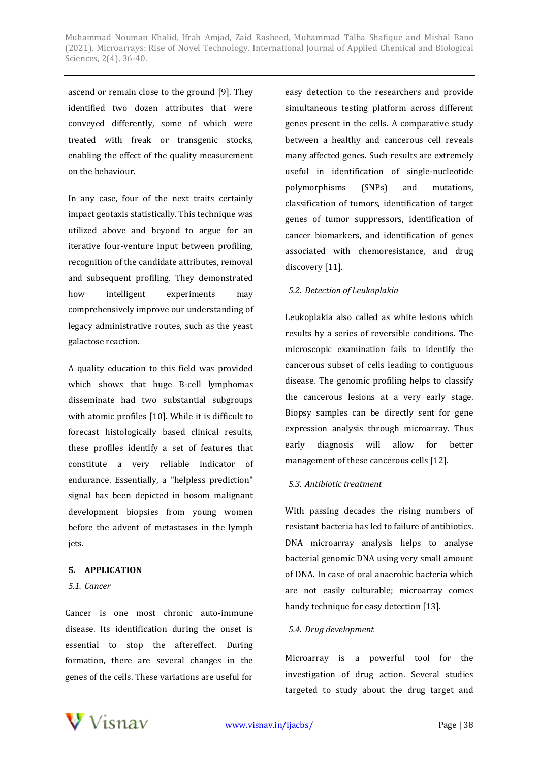ascend or remain close to the ground [9]. They identified two dozen attributes that were conveyed differently, some of which were treated with freak or transgenic stocks, enabling the effect of the quality measurement on the behaviour.

In any case, four of the next traits certainly impact geotaxis statistically. This technique was utilized above and beyond to argue for an iterative four-venture input between profiling, recognition of the candidate attributes, removal and subsequent profiling. They demonstrated how intelligent experiments may comprehensively improve our understanding of legacy administrative routes, such as the yeast galactose reaction.

A quality education to this field was provided which shows that huge B-cell lymphomas disseminate had two substantial subgroups with atomic profiles [10]. While it is difficult to forecast histologically based clinical results, these profiles identify a set of features that constitute a very reliable indicator of endurance. Essentially, a "helpless prediction" signal has been depicted in bosom malignant development biopsies from young women before the advent of metastases in the lymph jets.

# **5. APPLICATION**

#### *5.1. Cancer*

Cancer is one most chronic auto-immune disease. Its identification during the onset is essential to stop the aftereffect. During formation, there are several changes in the genes of the cells. These variations are useful for

easy detection to the researchers and provide simultaneous testing platform across different genes present in the cells. A comparative study between a healthy and cancerous cell reveals many affected genes. Such results are extremely useful in identification of single-nucleotide polymorphisms (SNPs) and mutations, classification of tumors, identification of target genes of tumor suppressors, identification of cancer biomarkers, and identification of genes associated with chemoresistance, and drug discovery [11].

#### *5.2. Detection of Leukoplakia*

Leukoplakia also called as white lesions which results by a series of reversible conditions. The microscopic examination fails to identify the cancerous subset of cells leading to contiguous disease. The genomic profiling helps to classify the cancerous lesions at a very early stage. Biopsy samples can be directly sent for gene expression analysis through microarray. Thus early diagnosis will allow for better management of these cancerous cells [12].

#### *5.3. Antibiotic treatment*

With passing decades the rising numbers of resistant bacteria has led to failure of antibiotics. DNA microarray analysis helps to analyse bacterial genomic DNA using very small amount of DNA. In case of oral anaerobic bacteria which are not easily culturable; microarray comes handy technique for easy detection [13].

#### *5.4. Drug development*

Microarray is a powerful tool for the investigation of drug action. Several studies targeted to study about the drug target and

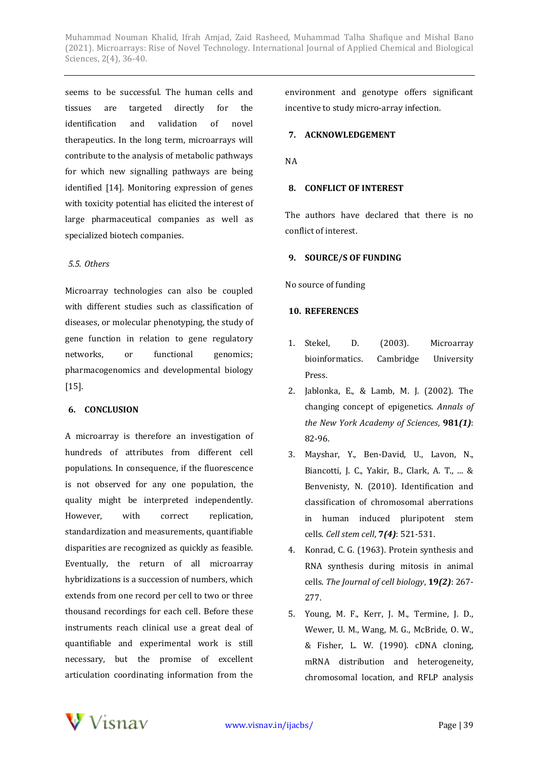Muhammad Nouman Khalid, Ifrah Amjad, Zaid Rasheed, Muhammad Talha Shafique and Mishal Bano (2021). Microarrays: Rise of Novel Technology. International Journal of Applied Chemical and Biological Sciences, 2(4), 36-40.

seems to be successful. The human cells and tissues are targeted directly for the identification and validation of novel therapeutics. In the long term, microarrays will contribute to the analysis of metabolic pathways for which new signalling pathways are being identified [14]. Monitoring expression of genes with toxicity potential has elicited the interest of large pharmaceutical companies as well as specialized biotech companies.

# *5.5. Others*

Microarray technologies can also be coupled with different studies such as classification of diseases, or molecular phenotyping, the study of gene function in relation to gene regulatory networks, or functional genomics; pharmacogenomics and developmental biology [15].

# **6. CONCLUSION**

A microarray is therefore an investigation of hundreds of attributes from different cell populations. In consequence, if the fluorescence is not observed for any one population, the quality might be interpreted independently. However, with correct replication, standardization and measurements, quantifiable disparities are recognized as quickly as feasible. Eventually, the return of all microarray hybridizations is a succession of numbers, which extends from one record per cell to two or three thousand recordings for each cell. Before these instruments reach clinical use a great deal of quantifiable and experimental work is still necessary, but the promise of excellent articulation coordinating information from the

environment and genotype offers significant incentive to study micro-array infection.

# **7. ACKNOWLEDGEMENT**

NA

# **8. CONFLICT OF INTEREST**

The authors have declared that there is no conflict of interest.

## **9. SOURCE/S OF FUNDING**

No source of funding

# **10. REFERENCES**

- 1. Stekel, D. (2003). Microarray bioinformatics. Cambridge University Press.
- 2. Jablonka, E., & Lamb, M. J. (2002). The changing concept of epigenetics. *Annals of the New York Academy of Sciences*, **981***(1)*: 82-96.
- 3. Mayshar, Y., Ben-David, U., Lavon, N., Biancotti, J. C., Yakir, B., Clark, A. T., ... & Benvenisty, N. (2010). Identification and classification of chromosomal aberrations in human induced pluripotent stem cells. *Cell stem cell*, **7***(4)*: 521-531.
- 4. Konrad, C. G. (1963). Protein synthesis and RNA synthesis during mitosis in animal cells. *The Journal of cell biology*, **19***(2)*: 267- 277.
- 5. Young, M. F., Kerr, J. M., Termine, J. D., Wewer, U. M., Wang, M. G., McBride, O. W., & Fisher, L. W. (1990). cDNA cloning, mRNA distribution and heterogeneity, chromosomal location, and RFLP analysis